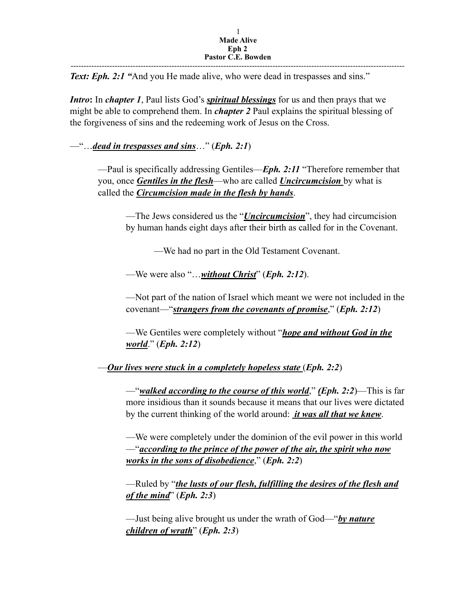**Text: Eph. 2:1 "**And you He made alive, who were dead in trespasses and sins."

*Intro***:** In *chapter 1*, Paul lists God's *spiritual blessings* for us and then prays that we might be able to comprehend them. In *chapter 2* Paul explains the spiritual blessing of the forgiveness of sins and the redeeming work of Jesus on the Cross.

—"…*dead in trespasses and sins*…" (*Eph. 2:1*)

—Paul is specifically addressing Gentiles—*Eph. 2:11* "Therefore remember that you, once *Gentiles in the flesh*—who are called *Uncircumcision* by what is called the *Circumcision made in the flesh by hands*.

—The Jews considered us the "*Uncircumcision*", they had circumcision by human hands eight days after their birth as called for in the Covenant.

—We had no part in the Old Testament Covenant.

—We were also "…*without Christ*" (*Eph. 2:12*).

—Not part of the nation of Israel which meant we were not included in the covenant—"*strangers from the covenants of promise*," (*Eph. 2:12*)

—We Gentiles were completely without "*hope and without God in the world*." (*Eph. 2:12*)

—*Our lives were stuck in a completely hopeless state* (*Eph. 2:2*)

—"*walked according to the course of this world*," *(Eph. 2:2*)—This is far more insidious than it sounds because it means that our lives were dictated by the current thinking of the world around: *it was all that we knew*.

—We were completely under the dominion of the evil power in this world —"*according to the prince of the power of the air, the spirit who now works in the sons of disobedience*," (*Eph. 2:2*)

—Ruled by "*the lusts of our flesh, fulfilling the desires of the flesh and of the mind*" (*Eph. 2:3*)

—Just being alive brought us under the wrath of God—"*by nature children of wrath*" (*Eph. 2:3*)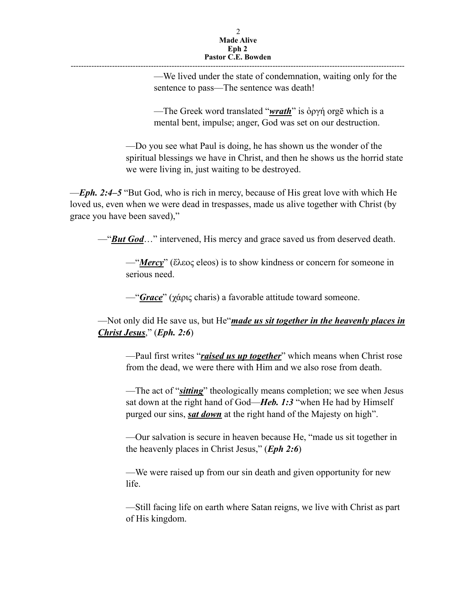---------------------------------------------------------------------------------------------------------------------------------

—We lived under the state of condemnation, waiting only for the sentence to pass—The sentence was death!

—The Greek word translated "*wrath*" is ὀργή orgē which is a mental bent, impulse; anger, God was set on our destruction.

—Do you see what Paul is doing, he has shown us the wonder of the spiritual blessings we have in Christ, and then he shows us the horrid state we were living in, just waiting to be destroyed.

—*Eph. 2:4–5* "But God, who is rich in mercy, because of His great love with which He loved us, even when we were dead in trespasses, made us alive together with Christ (by grace you have been saved),"

—"*But God*…" intervened, His mercy and grace saved us from deserved death.

—"*Mercy*" (ἔλεος eleos) is to show kindness or concern for someone in serious need.

—"*Grace*" (χάρις charis) a favorable attitude toward someone.

—Not only did He save us, but He"*made us sit together in the heavenly places in Christ Jesus*," (*Eph. 2:6*)

—Paul first writes "*raised us up together*" which means when Christ rose from the dead, we were there with Him and we also rose from death.

—The act of "*sitting*" theologically means completion; we see when Jesus sat down at the right hand of God—*Heb. 1:3* "when He had by Himself purged our sins, *sat down* at the right hand of the Majesty on high".

—Our salvation is secure in heaven because He, "made us sit together in the heavenly places in Christ Jesus," (*Eph 2:6*)

—We were raised up from our sin death and given opportunity for new life.

—Still facing life on earth where Satan reigns, we live with Christ as part of His kingdom.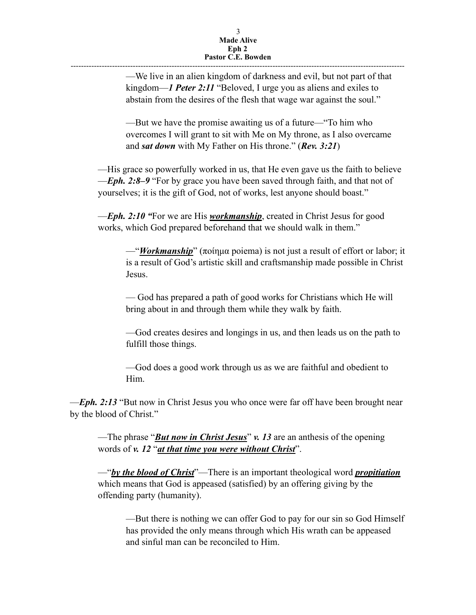—We live in an alien kingdom of darkness and evil, but not part of that kingdom—*1 Peter 2:11* "Beloved, I urge you as aliens and exiles to abstain from the desires of the flesh that wage war against the soul."

—But we have the promise awaiting us of a future—"To him who overcomes I will grant to sit with Me on My throne, as I also overcame and *sat down* with My Father on His throne." (*Rev. 3:21*)

—His grace so powerfully worked in us, that He even gave us the faith to believe —*Eph. 2:8–9* "For by grace you have been saved through faith, and that not of yourselves; it is the gift of God, not of works, lest anyone should boast."

—*Eph. 2:10 "*For we are His *workmanship*, created in Christ Jesus for good works, which God prepared beforehand that we should walk in them."

—"*Workmanship*" (ποίηµα poiema) is not just a result of effort or labor; it is a result of God's artistic skill and craftsmanship made possible in Christ Jesus.

— God has prepared a path of good works for Christians which He will bring about in and through them while they walk by faith.

—God creates desires and longings in us, and then leads us on the path to fulfill those things.

—God does a good work through us as we are faithful and obedient to Him.

—*Eph. 2:13* "But now in Christ Jesus you who once were far off have been brought near by the blood of Christ."

—The phrase "*But now in Christ Jesus*" *v. 13* are an anthesis of the opening words of *v. 12* "*at that time you were without Christ*".

—"*by the blood of Christ*"—There is an important theological word *propitiation* which means that God is appeased (satisfied) by an offering giving by the offending party (humanity).

—But there is nothing we can offer God to pay for our sin so God Himself has provided the only means through which His wrath can be appeased and sinful man can be reconciled to Him.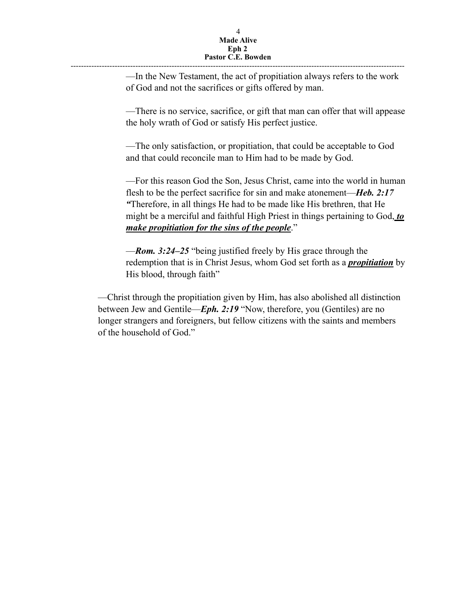## 4 **Made Alive Eph 2 Pastor C.E. Bowden**  ---------------------------------------------------------------------------------------------------------------------------------

—In the New Testament, the act of propitiation always refers to the work of God and not the sacrifices or gifts offered by man.

—There is no service, sacrifice, or gift that man can offer that will appease the holy wrath of God or satisfy His perfect justice.

—The only satisfaction, or propitiation, that could be acceptable to God and that could reconcile man to Him had to be made by God.

—For this reason God the Son, Jesus Christ, came into the world in human flesh to be the perfect sacrifice for sin and make atonement—*Heb. 2:17 "*Therefore, in all things He had to be made like His brethren, that He might be a merciful and faithful High Priest in things pertaining to God, *to make propitiation for the sins of the people*."

—*Rom. 3:24–25* "being justified freely by His grace through the redemption that is in Christ Jesus, whom God set forth as a *propitiation* by His blood, through faith"

—Christ through the propitiation given by Him, has also abolished all distinction between Jew and Gentile—*Eph. 2:19* "Now, therefore, you (Gentiles) are no longer strangers and foreigners, but fellow citizens with the saints and members of the household of God."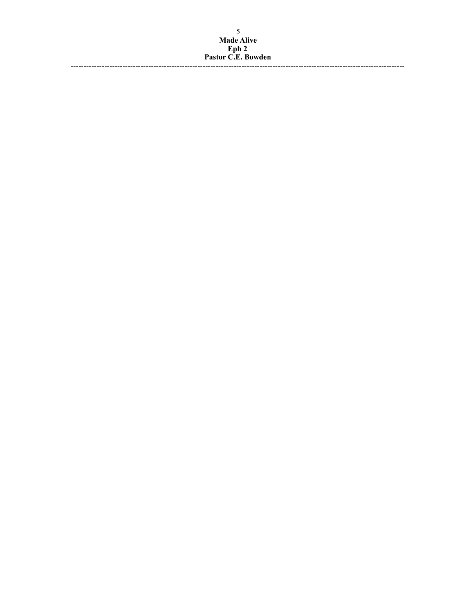5<br>Made Alive Eph 2<br>Pastor C.E. Bowden ---